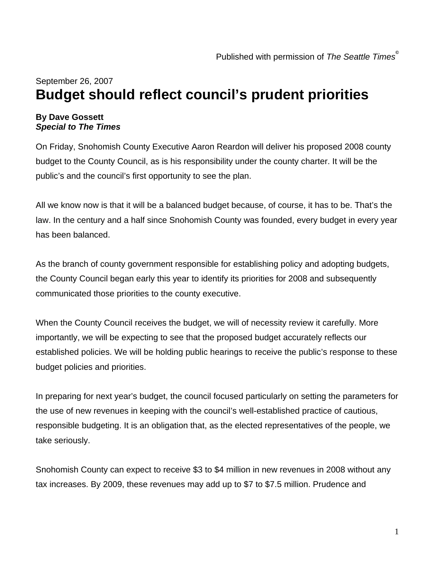## September 26, 2007 **Budget should reflect council's prudent priorities**

## **By Dave Gossett**  *Special to The Times*

On Friday, Snohomish County Executive Aaron Reardon will deliver his proposed 2008 county budget to the County Council, as is his responsibility under the county charter. It will be the public's and the council's first opportunity to see the plan.

All we know now is that it will be a balanced budget because, of course, it has to be. That's the law. In the century and a half since Snohomish County was founded, every budget in every year has been balanced.

As the branch of county government responsible for establishing policy and adopting budgets, the County Council began early this year to identify its priorities for 2008 and subsequently communicated those priorities to the county executive.

When the County Council receives the budget, we will of necessity review it carefully. More importantly, we will be expecting to see that the proposed budget accurately reflects our established policies. We will be holding public hearings to receive the public's response to these budget policies and priorities.

In preparing for next year's budget, the council focused particularly on setting the parameters for the use of new revenues in keeping with the council's well-established practice of cautious, responsible budgeting. It is an obligation that, as the elected representatives of the people, we take seriously.

Snohomish County can expect to receive \$3 to \$4 million in new revenues in 2008 without any tax increases. By 2009, these revenues may add up to \$7 to \$7.5 million. Prudence and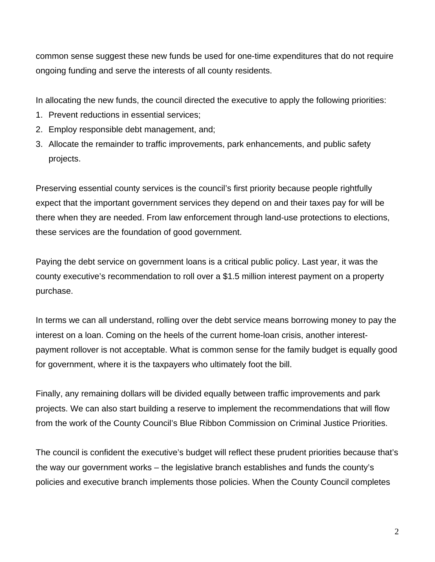common sense suggest these new funds be used for one-time expenditures that do not require ongoing funding and serve the interests of all county residents.

In allocating the new funds, the council directed the executive to apply the following priorities:

- 1. Prevent reductions in essential services;
- 2. Employ responsible debt management, and;
- 3. Allocate the remainder to traffic improvements, park enhancements, and public safety projects.

Preserving essential county services is the council's first priority because people rightfully expect that the important government services they depend on and their taxes pay for will be there when they are needed. From law enforcement through land-use protections to elections, these services are the foundation of good government.

Paying the debt service on government loans is a critical public policy. Last year, it was the county executive's recommendation to roll over a \$1.5 million interest payment on a property purchase.

In terms we can all understand, rolling over the debt service means borrowing money to pay the interest on a loan. Coming on the heels of the current home-loan crisis, another interestpayment rollover is not acceptable. What is common sense for the family budget is equally good for government, where it is the taxpayers who ultimately foot the bill.

Finally, any remaining dollars will be divided equally between traffic improvements and park projects. We can also start building a reserve to implement the recommendations that will flow from the work of the County Council's Blue Ribbon Commission on Criminal Justice Priorities.

The council is confident the executive's budget will reflect these prudent priorities because that's the way our government works – the legislative branch establishes and funds the county's policies and executive branch implements those policies. When the County Council completes